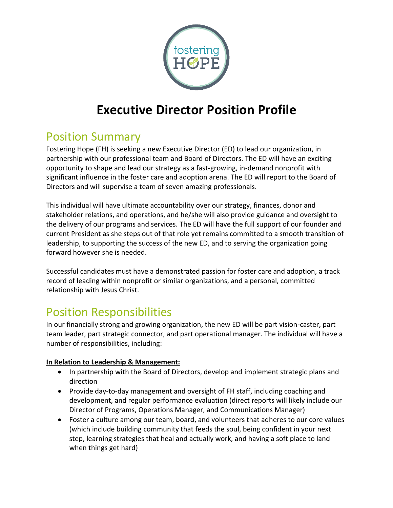

# **Executive Director Position Profile**

### Position Summary

Fostering Hope (FH) is seeking a new Executive Director (ED) to lead our organization, in partnership with our professional team and Board of Directors. The ED will have an exciting opportunity to shape and lead our strategy as a fast-growing, in-demand nonprofit with significant influence in the foster care and adoption arena. The ED will report to the Board of Directors and will supervise a team of seven amazing professionals.

This individual will have ultimate accountability over our strategy, finances, donor and stakeholder relations, and operations, and he/she will also provide guidance and oversight to the delivery of our programs and services. The ED will have the full support of our founder and current President as she steps out of that role yet remains committed to a smooth transition of leadership, to supporting the success of the new ED, and to serving the organization going forward however she is needed.

Successful candidates must have a demonstrated passion for foster care and adoption, a track record of leading within nonprofit or similar organizations, and a personal, committed relationship with Jesus Christ.

# Position Responsibilities

In our financially strong and growing organization, the new ED will be part vision-caster, part team leader, part strategic connector, and part operational manager. The individual will have a number of responsibilities, including:

#### **In Relation to Leadership & Management:**

- In partnership with the Board of Directors, develop and implement strategic plans and direction
- Provide day-to-day management and oversight of FH staff, including coaching and development, and regular performance evaluation (direct reports will likely include our Director of Programs, Operations Manager, and Communications Manager)
- Foster a culture among our team, board, and volunteers that adheres to our core values (which include building community that feeds the soul, being confident in your next step, learning strategies that heal and actually work, and having a soft place to land when things get hard)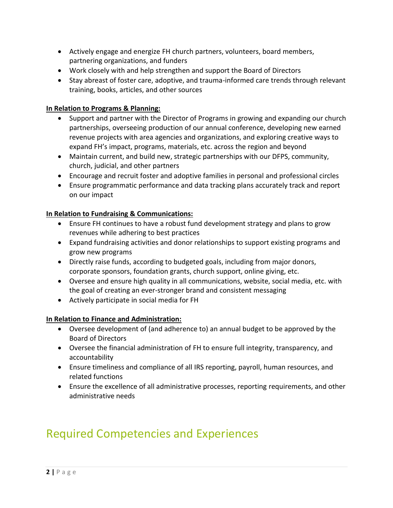- Actively engage and energize FH church partners, volunteers, board members, partnering organizations, and funders
- Work closely with and help strengthen and support the Board of Directors
- Stay abreast of foster care, adoptive, and trauma-informed care trends through relevant training, books, articles, and other sources

#### **In Relation to Programs & Planning:**

- Support and partner with the Director of Programs in growing and expanding our church partnerships, overseeing production of our annual conference, developing new earned revenue projects with area agencies and organizations, and exploring creative ways to expand FH's impact, programs, materials, etc. across the region and beyond
- Maintain current, and build new, strategic partnerships with our DFPS, community, church, judicial, and other partners
- Encourage and recruit foster and adoptive families in personal and professional circles
- Ensure programmatic performance and data tracking plans accurately track and report on our impact

#### **In Relation to Fundraising & Communications:**

- Ensure FH continues to have a robust fund development strategy and plans to grow revenues while adhering to best practices
- Expand fundraising activities and donor relationships to support existing programs and grow new programs
- Directly raise funds, according to budgeted goals, including from major donors, corporate sponsors, foundation grants, church support, online giving, etc.
- Oversee and ensure high quality in all communications, website, social media, etc. with the goal of creating an ever-stronger brand and consistent messaging
- Actively participate in social media for FH

#### **In Relation to Finance and Administration:**

- Oversee development of (and adherence to) an annual budget to be approved by the Board of Directors
- Oversee the financial administration of FH to ensure full integrity, transparency, and accountability
- Ensure timeliness and compliance of all IRS reporting, payroll, human resources, and related functions
- Ensure the excellence of all administrative processes, reporting requirements, and other administrative needs

# Required Competencies and Experiences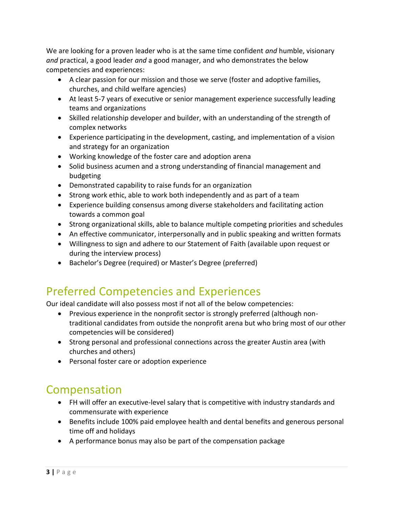We are looking for a proven leader who is at the same time confident *and* humble, visionary *and* practical, a good leader *and* a good manager, and who demonstrates the below competencies and experiences:

- A clear passion for our mission and those we serve (foster and adoptive families, churches, and child welfare agencies)
- At least 5-7 years of executive or senior management experience successfully leading teams and organizations
- Skilled relationship developer and builder, with an understanding of the strength of complex networks
- Experience participating in the development, casting, and implementation of a vision and strategy for an organization
- Working knowledge of the foster care and adoption arena
- Solid business acumen and a strong understanding of financial management and budgeting
- Demonstrated capability to raise funds for an organization
- Strong work ethic, able to work both independently and as part of a team
- Experience building consensus among diverse stakeholders and facilitating action towards a common goal
- Strong organizational skills, able to balance multiple competing priorities and schedules
- An effective communicator, interpersonally and in public speaking and written formats
- Willingness to sign and adhere to our Statement of Faith (available upon request or during the interview process)
- Bachelor's Degree (required) or Master's Degree (preferred)

### Preferred Competencies and Experiences

Our ideal candidate will also possess most if not all of the below competencies:

- Previous experience in the nonprofit sector is strongly preferred (although nontraditional candidates from outside the nonprofit arena but who bring most of our other competencies will be considered)
- Strong personal and professional connections across the greater Austin area (with churches and others)
- Personal foster care or adoption experience

# Compensation

- FH will offer an executive-level salary that is competitive with industry standards and commensurate with experience
- Benefits include 100% paid employee health and dental benefits and generous personal time off and holidays
- A performance bonus may also be part of the compensation package